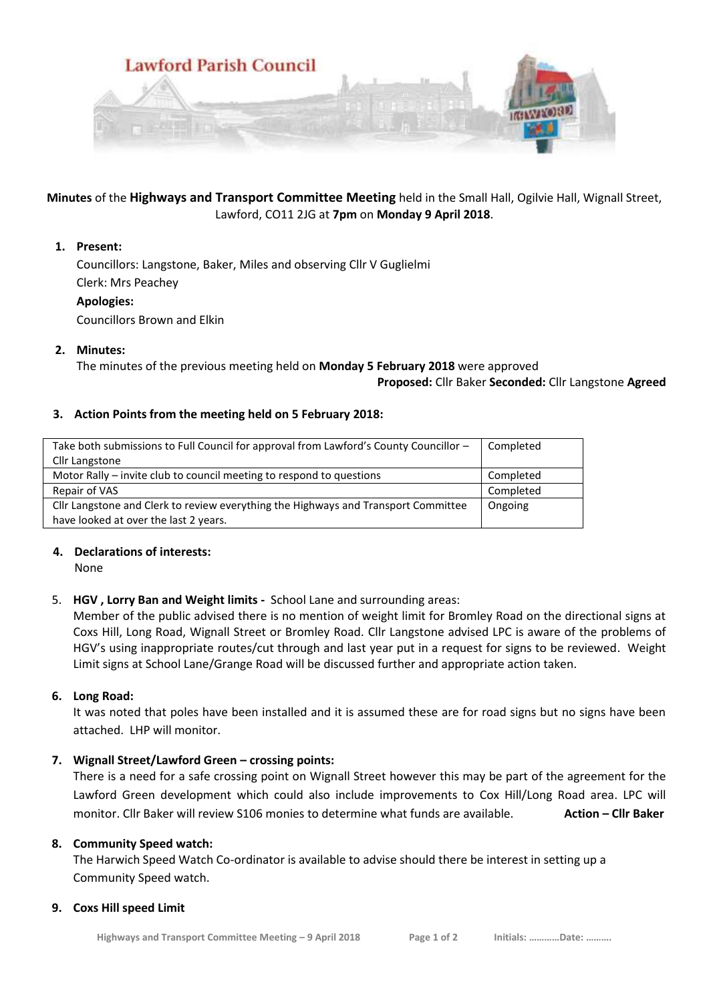

## **Minutes** of the **Highways and Transport Committee Meeting** held in the Small Hall, Ogilvie Hall, Wignall Street, Lawford, CO11 2JG at **7pm** on **Monday 9 April 2018**.

## **1. Present:**

Councillors: Langstone, Baker, Miles and observing Cllr V Guglielmi Clerk: Mrs Peachey **Apologies:**

Councillors Brown and Elkin

## **2. Minutes:**

The minutes of the previous meeting held on **Monday 5 February 2018** were approved

**Proposed:** Cllr Baker **Seconded:** Cllr Langstone **Agreed**

## **3. Action Points from the meeting held on 5 February 2018:**

| Take both submissions to Full Council for approval from Lawford's County Councillor - | Completed |
|---------------------------------------------------------------------------------------|-----------|
| Cllr Langstone                                                                        |           |
| Motor Rally – invite club to council meeting to respond to questions                  | Completed |
| Repair of VAS                                                                         | Completed |
| Cllr Langstone and Clerk to review everything the Highways and Transport Committee    | Ongoing   |
| have looked at over the last 2 years.                                                 |           |

# **4. Declarations of interests:**

None

# 5. **HGV , Lorry Ban and Weight limits -** School Lane and surrounding areas:

Member of the public advised there is no mention of weight limit for Bromley Road on the directional signs at Coxs Hill, Long Road, Wignall Street or Bromley Road. Cllr Langstone advised LPC is aware of the problems of HGV's using inappropriate routes/cut through and last year put in a request for signs to be reviewed. Weight Limit signs at School Lane/Grange Road will be discussed further and appropriate action taken.

#### **6. Long Road:**

It was noted that poles have been installed and it is assumed these are for road signs but no signs have been attached. LHP will monitor.

# **7. Wignall Street/Lawford Green – crossing points:**

There is a need for a safe crossing point on Wignall Street however this may be part of the agreement for the Lawford Green development which could also include improvements to Cox Hill/Long Road area. LPC will monitor. Cllr Baker will review S106 monies to determine what funds are available. **Action – Cllr Baker**

#### **8. Community Speed watch:**

The Harwich Speed Watch Co-ordinator is available to advise should there be interest in setting up a Community Speed watch.

#### **9. Coxs Hill speed Limit**